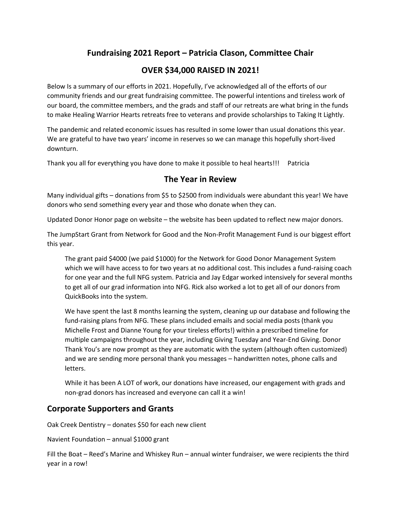# **Fundraising 2021 Report – Patricia Clason, Committee Chair**

## **OVER \$34,000 RAISED IN 2021!**

Below Is a summary of our efforts in 2021. Hopefully, I've acknowledged all of the efforts of our community friends and our great fundraising committee. The powerful intentions and tireless work of our board, the committee members, and the grads and staff of our retreats are what bring in the funds to make Healing Warrior Hearts retreats free to veterans and provide scholarships to Taking It Lightly.

The pandemic and related economic issues has resulted in some lower than usual donations this year. We are grateful to have two years' income in reserves so we can manage this hopefully short-lived downturn.

Thank you all for everything you have done to make it possible to heal hearts!!! Patricia

#### **The Year in Review**

Many individual gifts – donations from \$5 to \$2500 from individuals were abundant this year! We have donors who send something every year and those who donate when they can.

Updated Donor Honor page on website – the website has been updated to reflect new major donors.

The JumpStart Grant from Network for Good and the Non-Profit Management Fund is our biggest effort this year.

The grant paid \$4000 (we paid \$1000) for the Network for Good Donor Management System which we will have access to for two years at no additional cost. This includes a fund-raising coach for one year and the full NFG system. Patricia and Jay Edgar worked intensively for several months to get all of our grad information into NFG. Rick also worked a lot to get all of our donors from QuickBooks into the system.

We have spent the last 8 months learning the system, cleaning up our database and following the fund-raising plans from NFG. These plans included emails and social media posts (thank you Michelle Frost and Dianne Young for your tireless efforts!) within a prescribed timeline for multiple campaigns throughout the year, including Giving Tuesday and Year-End Giving. Donor Thank You's are now prompt as they are automatic with the system (although often customized) and we are sending more personal thank you messages – handwritten notes, phone calls and letters.

While it has been A LOT of work, our donations have increased, our engagement with grads and non-grad donors has increased and everyone can call it a win!

## **Corporate Supporters and Grants**

Oak Creek Dentistry – donates \$50 for each new client

Navient Foundation – annual \$1000 grant

Fill the Boat – Reed's Marine and Whiskey Run – annual winter fundraiser, we were recipients the third year in a row!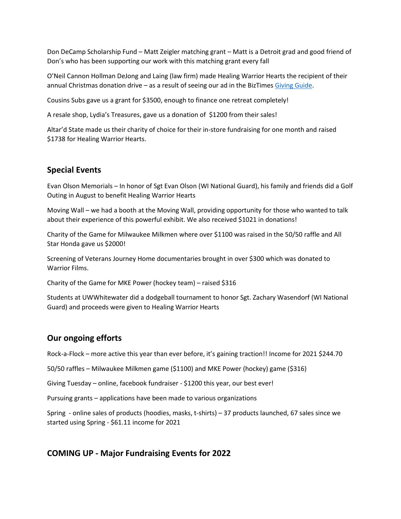Don DeCamp Scholarship Fund – Matt Zeigler matching grant – Matt is a Detroit grad and good friend of Don's who has been supporting our work with this matching grant every fall

O'Neil Cannon Hollman DeJong and Laing (law firm) made Healing Warrior Hearts the recipient of their annual Christmas donation drive - as a result of seeing our ad in the BizTimes [Giving Guide.](https://6da90b53-cf48-49db-8398-c159a22c80f3.usrfiles.com/ugd/6da90b_d313ed6381614d02a7187b47542ac3a7.pdf)

Cousins Subs gave us a grant for \$3500, enough to finance one retreat completely!

A resale shop, Lydia's Treasures, gave us a donation of \$1200 from their sales!

Altar'd State made us their charity of choice for their in-store fundraising for one month and raised \$1738 for Healing Warrior Hearts.

#### **Special Events**

Evan Olson Memorials – In honor of Sgt Evan Olson (WI National Guard), his family and friends did a Golf Outing in August to benefit Healing Warrior Hearts

Moving Wall – we had a booth at the Moving Wall, providing opportunity for those who wanted to talk about their experience of this powerful exhibit. We also received \$1021 in donations!

Charity of the Game for Milwaukee Milkmen where over \$1100 was raised in the 50/50 raffle and All Star Honda gave us \$2000!

Screening of Veterans Journey Home documentaries brought in over \$300 which was donated to Warrior Films.

Charity of the Game for MKE Power (hockey team) – raised \$316

Students at UWWhitewater did a dodgeball tournament to honor Sgt. Zachary Wasendorf (WI National Guard) and proceeds were given to Healing Warrior Hearts

## **Our ongoing efforts**

Rock-a-Flock – more active this year than ever before, it's gaining traction!! Income for 2021 \$244.70

50/50 raffles – Milwaukee Milkmen game (\$1100) and MKE Power (hockey) game (\$316)

Giving Tuesday – online, facebook fundraiser - \$1200 this year, our best ever!

Pursuing grants – applications have been made to various organizations

Spring - online sales of products (hoodies, masks, t-shirts) – 37 products launched, 67 sales since we started using Spring - \$61.11 income for 2021

## **COMING UP - Major Fundraising Events for 2022**